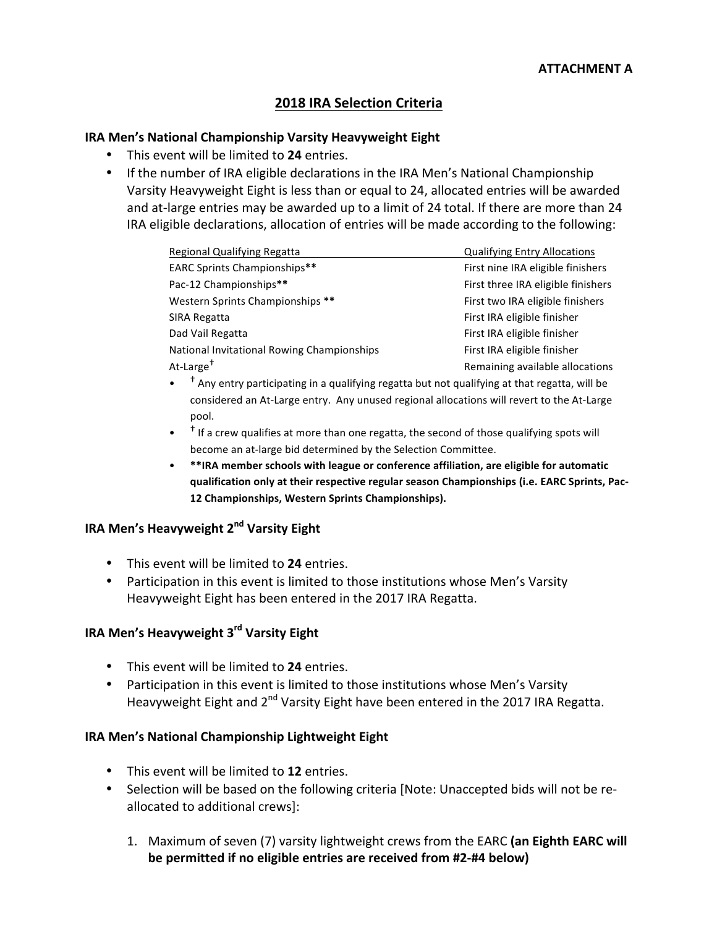## **2018 IRA Selection Criteria**

#### **IRA Men's National Championship Varsity Heavyweight Eight**

- This event will be limited to 24 entries.
- If the number of IRA eligible declarations in the IRA Men's National Championship Varsity Heavyweight Eight is less than or equal to 24, allocated entries will be awarded and at-large entries may be awarded up to a limit of 24 total. If there are more than 24 IRA eligible declarations, allocation of entries will be made according to the following:

| Regional Qualifying Regatta                | <b>Qualifying Entry Allocations</b> |
|--------------------------------------------|-------------------------------------|
| <b>EARC Sprints Championships**</b>        | First nine IRA eligible finishers   |
| Pac-12 Championships**                     | First three IRA eligible finishers  |
| Western Sprints Championships **           | First two IRA eligible finishers    |
| SIRA Regatta                               | First IRA eligible finisher         |
| Dad Vail Regatta                           | First IRA eligible finisher         |
| National Invitational Rowing Championships | First IRA eligible finisher         |
| At-Large <sup>†</sup>                      | Remaining available allocations     |
|                                            |                                     |

- $\rightarrow$  Any entry participating in a qualifying regatta but not qualifying at that regatta, will be considered an At-Large entry. Any unused regional allocations will revert to the At-Large pool.
- $\bullet$   $\bullet$   $\uparrow$  If a crew qualifies at more than one regatta, the second of those qualifying spots will become an at-large bid determined by the Selection Committee.
- \*\*IRA member schools with league or conference affiliation, are eligible for automatic qualification only at their respective regular season Championships (i.e. EARC Sprints, Pac-**12 Championships, Western Sprints Championships).**

### **IRA Men's Heavyweight 2<sup>nd</sup> Varsity Eight**

- This event will be limited to 24 entries.
- Participation in this event is limited to those institutions whose Men's Varsity Heavyweight Eight has been entered in the 2017 IRA Regatta.

## **IRA Men's Heavyweight 3<sup>rd</sup> Varsity Eight**

- This event will be limited to 24 entries.
- Participation in this event is limited to those institutions whose Men's Varsity Heavyweight Eight and 2<sup>nd</sup> Varsity Eight have been entered in the 2017 IRA Regatta.

### **IRA Men's National Championship Lightweight Eight**

- This event will be limited to 12 entries.
- Selection will be based on the following criteria [Note: Unaccepted bids will not be reallocated to additional crews]:
	- 1. Maximum of seven (7) varsity lightweight crews from the EARC **(an Eighth EARC will be permitted if no eligible entries are received from #2-#4 below)**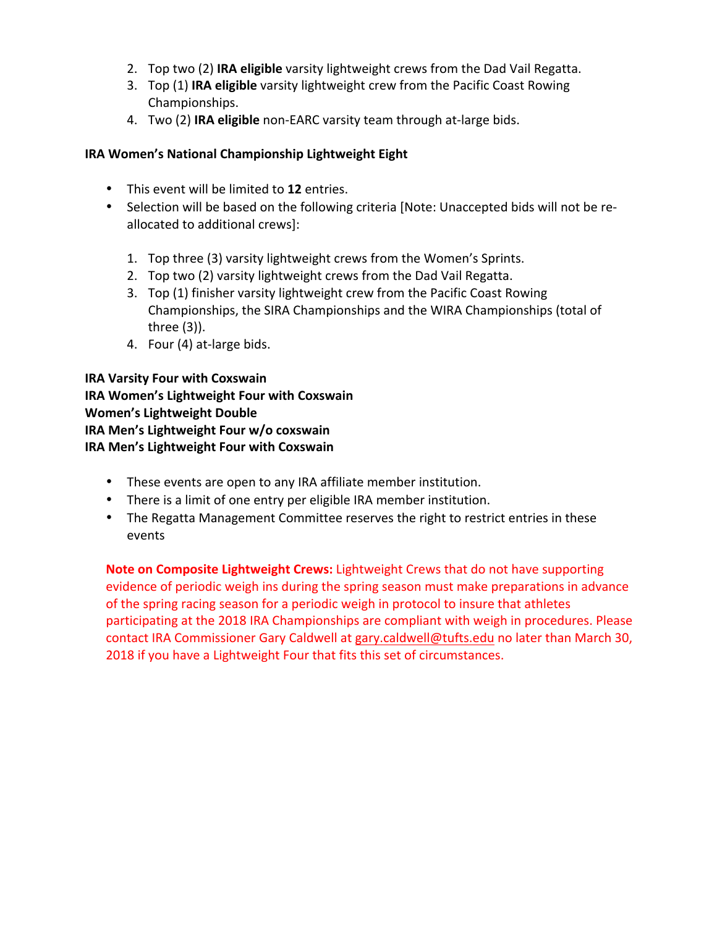- 2. Top two (2) IRA eligible varsity lightweight crews from the Dad Vail Regatta.
- 3. Top (1) **IRA eligible** varsity lightweight crew from the Pacific Coast Rowing Championships.
- 4. Two (2) **IRA eligible** non-EARC varsity team through at-large bids.

## **IRA Women's National Championship Lightweight Eight**

- This event will be limited to 12 entries.
- Selection will be based on the following criteria [Note: Unaccepted bids will not be reallocated to additional crews]:
	- 1. Top three (3) varsity lightweight crews from the Women's Sprints.
	- 2. Top two (2) varsity lightweight crews from the Dad Vail Regatta.
	- 3. Top (1) finisher varsity lightweight crew from the Pacific Coast Rowing Championships, the SIRA Championships and the WIRA Championships (total of three $(3)$ ).
	- 4. Four (4) at-large bids.

## **IRA Varsity Four with Coxswain IRA Women's Lightweight Four with Coxswain Women's Lightweight Double IRA Men's Lightweight Four w/o coxswain IRA Men's Lightweight Four with Coxswain**

- These events are open to any IRA affiliate member institution.
- There is a limit of one entry per eligible IRA member institution.
- The Regatta Management Committee reserves the right to restrict entries in these events

**Note on Composite Lightweight Crews:** Lightweight Crews that do not have supporting evidence of periodic weigh ins during the spring season must make preparations in advance of the spring racing season for a periodic weigh in protocol to insure that athletes participating at the 2018 IRA Championships are compliant with weigh in procedures. Please contact IRA Commissioner Gary Caldwell at gary.caldwell@tufts.edu no later than March 30, 2018 if you have a Lightweight Four that fits this set of circumstances.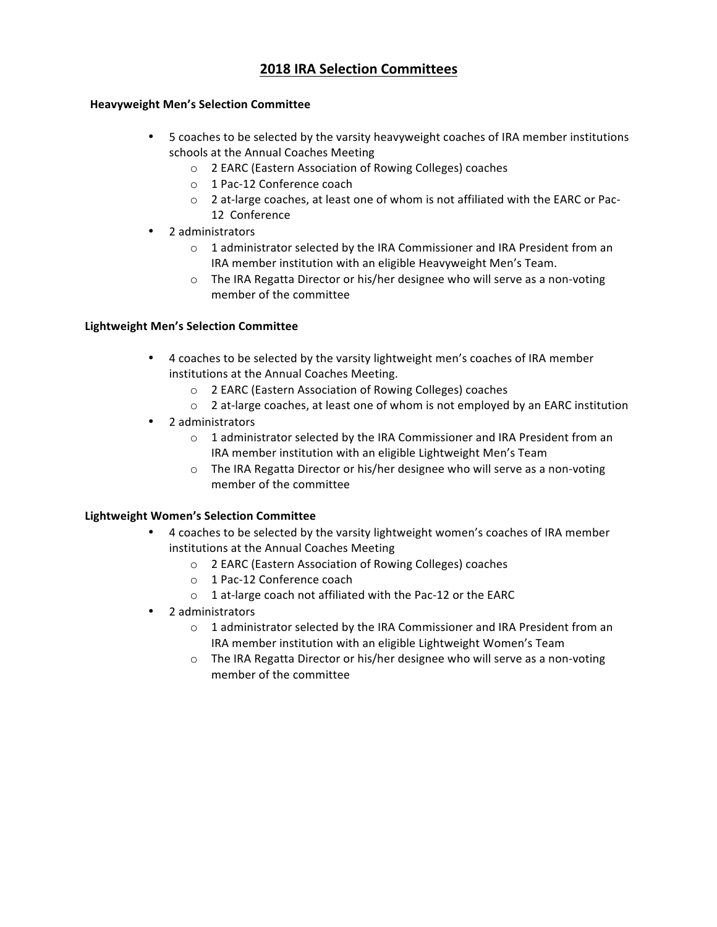## **2018 IRA Selection Committees**

#### **Heavyweight Men's Selection Committee**

- 5 coaches to be selected by the varsity heavyweight coaches of IRA member institutions schools at the Annual Coaches Meeting
	- o 2 EARC (Eastern Association of Rowing Colleges) coaches
	- o 1 Pac-12 Conference coach
	- o 2 at-large coaches, at least one of whom is not affiliated with the EARC or Pac-12 Conference
- 2 administrators
	- o 1 administrator selected by the IRA Commissioner and IRA President from an IRA member institution with an eligible Heavyweight Men's Team.
	- $\circ$  The IRA Regatta Director or his/her designee who will serve as a non-voting member of the committee

#### **Lightweight Men's Selection Committee**

- 4 coaches to be selected by the varsity lightweight men's coaches of IRA member institutions at the Annual Coaches Meeting.
	- o 2 EARC (Eastern Association of Rowing Colleges) coaches
	- $\circ$  2 at-large coaches, at least one of whom is not employed by an EARC institution
- 2 administrators
	- o 1 administrator selected by the IRA Commissioner and IRA President from an IRA member institution with an eligible Lightweight Men's Team
	- o The IRA Regatta Director or his/her designee who will serve as a non-voting member of the committee

#### **Lightweight Women's Selection Committee**

- 4 coaches to be selected by the varsity lightweight women's coaches of IRA member institutions at the Annual Coaches Meeting
	- o 2 EARC (Eastern Association of Rowing Colleges) coaches
	- o 1 Pac-12 Conference coach
	- $\circ$  1 at-large coach not affiliated with the Pac-12 or the EARC
- 2 administrators
	- $\circ$  1 administrator selected by the IRA Commissioner and IRA President from an IRA member institution with an eligible Lightweight Women's Team
	- o The IRA Regatta Director or his/her designee who will serve as a non-voting member of the committee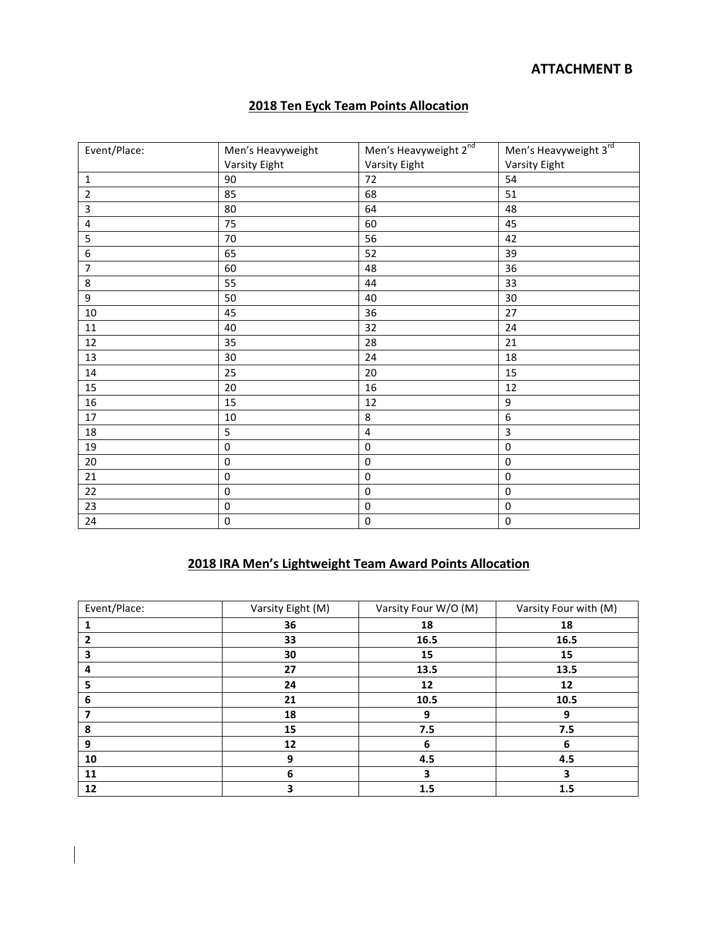## **ATTACHMENT B**

## **2018 Ten Eyck Team Points Allocation**

| Event/Place:            | Men's Heavyweight | Men's Heavyweight 2nd | Men's Heavyweight 3rd |
|-------------------------|-------------------|-----------------------|-----------------------|
|                         | Varsity Eight     | <b>Varsity Eight</b>  | <b>Varsity Eight</b>  |
| $\mathbf 1$             | 90                | 72                    | 54                    |
| $\overline{2}$          | 85                | 68                    | 51                    |
| $\overline{\mathbf{3}}$ | 80                | 64                    | 48                    |
| $\overline{\mathbf{4}}$ | 75                | 60                    | 45                    |
| 5                       | 70                | 56                    | 42                    |
| $\boldsymbol{6}$        | 65                | 52                    | 39                    |
| $\overline{7}$          | 60                | 48                    | 36                    |
| $\bf 8$                 | 55                | 44                    | 33                    |
| $\boldsymbol{9}$        | 50                | 40                    | 30                    |
| $10\,$                  | 45                | 36                    | 27                    |
| 11                      | 40                | 32                    | 24                    |
| 12                      | 35                | 28                    | 21                    |
| 13                      | 30                | 24                    | 18                    |
| $14\,$                  | 25                | 20                    | 15                    |
| 15                      | 20                | 16                    | 12                    |
| 16                      | 15                | 12                    | 9                     |
| 17                      | 10                | 8                     | 6                     |
| 18                      | 5                 | 4                     | 3                     |
| 19                      | $\mathbf 0$       | $\mathbf 0$           | $\mathbf 0$           |
| 20                      | $\pmb{0}$         | $\pmb{0}$             | $\pmb{0}$             |
| 21                      | $\boldsymbol{0}$  | $\mathbf 0$           | $\pmb{0}$             |
| 22                      | $\pmb{0}$         | $\pmb{0}$             | $\pmb{0}$             |
| 23                      | $\mathbf 0$       | $\mathbf 0$           | $\mathbf 0$           |
| 24                      | $\mathbf 0$       | $\pmb{0}$             | $\mathbf 0$           |

## **2018 IRA Men's Lightweight Team Award Points Allocation**

| Event/Place: | Varsity Eight (M) | Varsity Four W/O (M) | Varsity Four with (M) |
|--------------|-------------------|----------------------|-----------------------|
|              | 36                | 18                   | 18                    |
|              | 33                | 16.5                 | 16.5                  |
|              | 30                | 15                   | 15                    |
| 4            | 27                | 13.5                 | 13.5                  |
|              | 24                | 12                   | 12                    |
| 6            | 21                | 10.5                 | 10.5                  |
|              | 18                | 9                    | 9                     |
| 8            | 15                | 7.5                  | 7.5                   |
| 9            | 12                | 6                    | 6                     |
| 10           | 9                 | 4.5                  | 4.5                   |
| 11           | 6                 | 3                    | э                     |
| 12           | 3                 | 1.5                  | 1.5                   |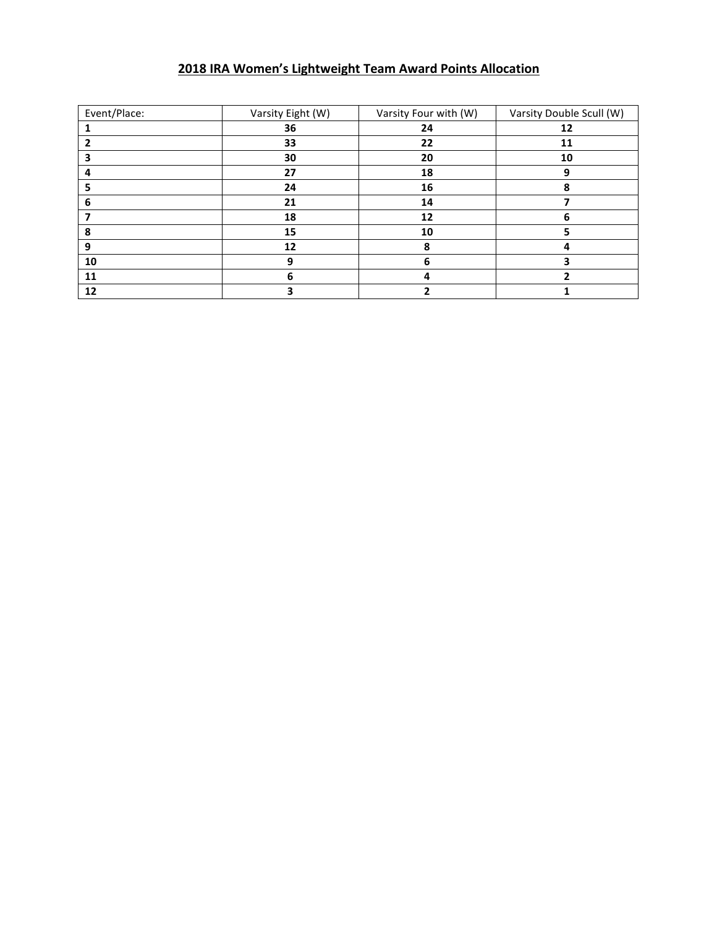# **IRA Women's Lightweight Team Award Points Allocation**

| Event/Place: | Varsity Eight (W) | Varsity Four with (W) | Varsity Double Scull (W) |
|--------------|-------------------|-----------------------|--------------------------|
|              | 36                | 24                    | 12                       |
|              | 33                | 22                    | 11                       |
|              | 30                | 20                    | 10                       |
|              | 27                | 18                    | 9                        |
|              | 24                | 16                    |                          |
| h            | 21                | 14                    |                          |
|              | 18                | 12                    | b                        |
| 8            | 15                | 10                    |                          |
|              | 12                | 8                     |                          |
| 10           | 9                 | 6                     |                          |
| 11           | 6                 |                       |                          |
| 12           |                   |                       |                          |